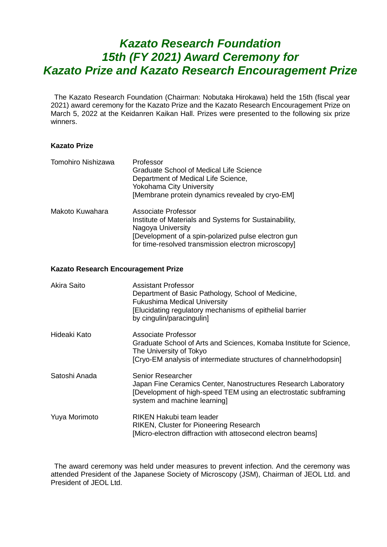# *Kazato Research Foundation 15th (FY 2021) Award Ceremony for Kazato Prize and Kazato Research Encouragement Prize*

The Kazato Research Foundation (Chairman: Nobutaka Hirokawa) held the 15th (fiscal year 2021) award ceremony for the Kazato Prize and the Kazato Research Encouragement Prize on March 5, 2022 at the Keidanren Kaikan Hall. Prizes were presented to the following six prize winners.

### **Kazato Prize**

| Tomohiro Nishizawa | Professor<br><b>Graduate School of Medical Life Science</b><br>Department of Medical Life Science,<br><b>Yokohama City University</b><br>[Membrane protein dynamics revealed by cryo-EM]                         |
|--------------------|------------------------------------------------------------------------------------------------------------------------------------------------------------------------------------------------------------------|
| Makoto Kuwahara    | Associate Professor<br>Institute of Materials and Systems for Sustainability,<br>Nagoya University<br>[Development of a spin-polarized pulse electron gun<br>for time-resolved transmission electron microscopy] |

### **Kazato Research Encouragement Prize**

| Akira Saito   | Assistant Professor<br>Department of Basic Pathology, School of Medicine,<br><b>Fukushima Medical University</b><br>Elucidating regulatory mechanisms of epithelial barrier<br>by cingulin/paracingulin] |
|---------------|----------------------------------------------------------------------------------------------------------------------------------------------------------------------------------------------------------|
| Hideaki Kato  | Associate Professor<br>Graduate School of Arts and Sciences, Komaba Institute for Science,<br>The University of Tokyo<br>[Cryo-EM analysis of intermediate structures of channelrhodopsin]               |
| Satoshi Anada | Senior Researcher<br>Japan Fine Ceramics Center, Nanostructures Research Laboratory<br>[Development of high-speed TEM using an electrostatic subframing<br>system and machine learning]                  |
| Yuya Morimoto | RIKEN Hakubi team leader<br><b>RIKEN, Cluster for Pioneering Research</b><br>[Micro-electron diffraction with attosecond electron beams]                                                                 |

The award ceremony was held under measures to prevent infection. And the ceremony was attended President of the Japanese Society of Microscopy (JSM), Chairman of JEOL Ltd. and President of JEOL Ltd.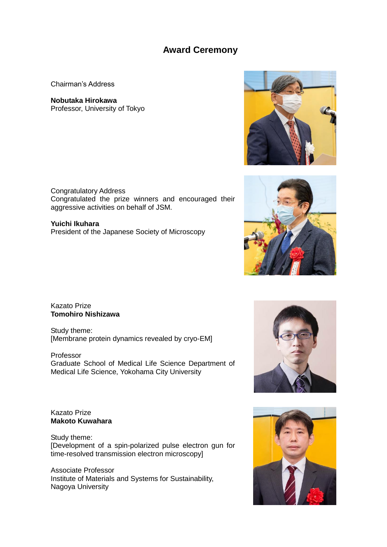## **Award Ceremony**

Chairman's Address

**Nobutaka Hirokawa** Professor, University of Tokyo

Congratulatory Address Congratulated the prize winners and encouraged their aggressive activities on behalf of JSM.

**Yuichi Ikuhara** President of the Japanese Society of Microscopy

Kazato Prize **Tomohiro Nishizawa**

Study theme: [Membrane protein dynamics revealed by cryo-EM]

Professor Graduate School of Medical Life Science Department of Medical Life Science, Yokohama City University

### Kazato Prize **Makoto Kuwahara**

Study theme: [Development of a spin-polarized pulse electron gun for time-resolved transmission electron microscopy]

Associate Professor Institute of Materials and Systems for Sustainability, Nagoya University







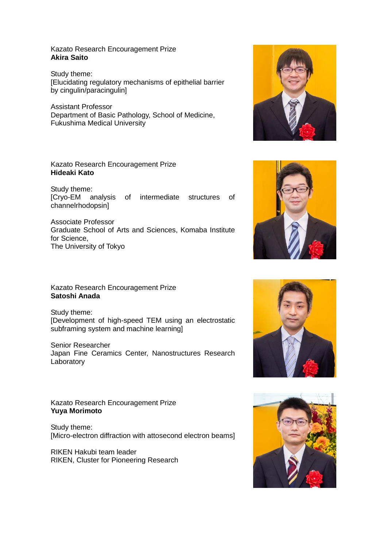Kazato Research Encouragement Prize **Akira Saito**

Study theme: [Elucidating regulatory mechanisms of epithelial barrier by cingulin/paracingulin]

Assistant Professor Department of Basic Pathology, School of Medicine, Fukushima Medical University

### Kazato Research Encouragement Prize **Hideaki Kato**

Study theme: [Cryo-EM analysis of intermediate structures of channelrhodopsin]

Associate Professor Graduate School of Arts and Sciences, Komaba Institute for Science, The University of Tokyo

Kazato Research Encouragement Prize **Satoshi Anada**

Study theme: [Development of high-speed TEM using an electrostatic subframing system and machine learning]

Senior Researcher Japan Fine Ceramics Center, Nanostructures Research Laboratory

Kazato Research Encouragement Prize **Yuya Morimoto**

Study theme: [Micro-electron diffraction with attosecond electron beams]

RIKEN Hakubi team leader RIKEN, Cluster for Pioneering Research